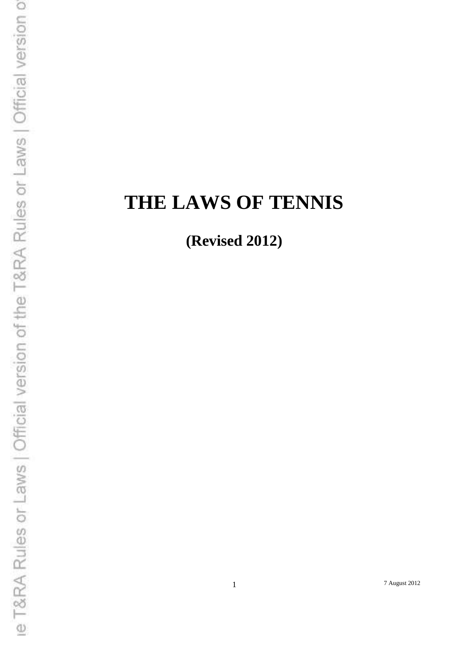# **THE LAWS OF TENNIS**

**(Revised 2012)**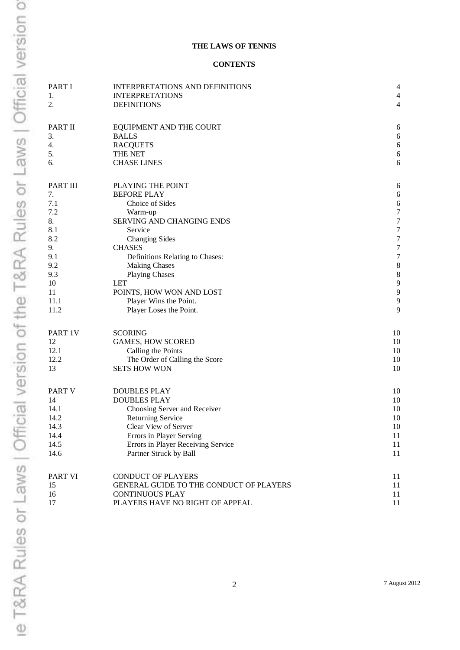#### **THE LAWS OF TENNIS**

#### **CONTENTS**

| PART I   | INTERPRETATIONS AND DEFINITIONS         | 4                |
|----------|-----------------------------------------|------------------|
| 1.       | <b>INTERPRETATIONS</b>                  | $\overline{4}$   |
| 2.       | <b>DEFINITIONS</b>                      | $\overline{4}$   |
| PART II  | EQUIPMENT AND THE COURT                 | 6                |
| 3.       | <b>BALLS</b>                            | 6                |
| 4.       | <b>RACQUETS</b>                         | $\sqrt{6}$       |
| 5.       | THE NET                                 | $\sqrt{6}$       |
| 6.       | <b>CHASE LINES</b>                      | 6                |
| PART III | PLAYING THE POINT                       | 6                |
| 7.       | <b>BEFORE PLAY</b>                      | $\boldsymbol{6}$ |
| 7.1      | Choice of Sides                         | 6                |
| 7.2      | Warm-up                                 | $\boldsymbol{7}$ |
| 8.       | SERVING AND CHANGING ENDS               | $\sqrt{ }$       |
| 8.1      | Service                                 | $\boldsymbol{7}$ |
| 8.2      | <b>Changing Sides</b>                   | $\boldsymbol{7}$ |
| 9.       | <b>CHASES</b>                           | $\boldsymbol{7}$ |
| 9.1      | Definitions Relating to Chases:         | $\boldsymbol{7}$ |
| 9.2      | <b>Making Chases</b>                    | $\,8\,$          |
| 9.3      | <b>Playing Chases</b>                   | $\,8\,$          |
| 10       | <b>LET</b>                              | 9                |
| 11       | POINTS, HOW WON AND LOST                | 9                |
| 11.1     | Player Wins the Point.                  | 9                |
| 11.2     | Player Loses the Point.                 | 9                |
| PART 1V  | <b>SCORING</b>                          | 10               |
| 12       | <b>GAMES, HOW SCORED</b>                | 10               |
| 12.1     | Calling the Points                      | 10               |
| 12.2     | The Order of Calling the Score          | 10               |
| 13       | <b>SETS HOW WON</b>                     | 10               |
| PART V   | <b>DOUBLES PLAY</b>                     | 10               |
| 14       | <b>DOUBLES PLAY</b>                     | 10               |
| 14.1     | Choosing Server and Receiver            | 10               |
| 14.2     | <b>Returning Service</b>                | 10               |
| 14.3     | Clear View of Server                    | 10               |
| 14.4     | Errors in Player Serving                | 11               |
| 14.5     | Errors in Player Receiving Service      | 11               |
| 14.6     | Partner Struck by Ball                  | 11               |
| PART VI  | <b>CONDUCT OF PLAYERS</b>               | 11               |
| 15       | GENERAL GUIDE TO THE CONDUCT OF PLAYERS | 11               |
| 16       | <b>CONTINUOUS PLAY</b>                  | 11               |
| 17       | PLAYERS HAVE NO RIGHT OF APPEAL         | 11               |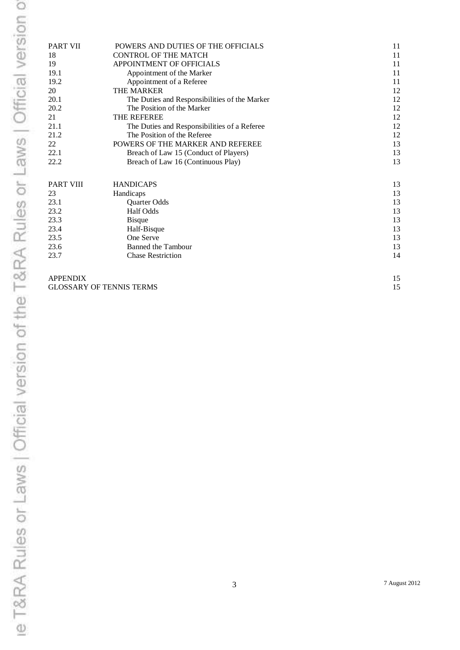| <b>PART VII</b>                 | POWERS AND DUTIES OF THE OFFICIALS            | 11 |
|---------------------------------|-----------------------------------------------|----|
| 18                              | <b>CONTROL OF THE MATCH</b>                   | 11 |
| 19                              | APPOINTMENT OF OFFICIALS                      | 11 |
| 19.1                            | Appointment of the Marker                     | 11 |
| 19.2                            | Appointment of a Referee                      | 11 |
| 20                              | THE MARKER                                    | 12 |
| 20.1                            | The Duties and Responsibilities of the Marker | 12 |
| 20.2                            | The Position of the Marker                    | 12 |
| 21                              | THE REFEREE                                   | 12 |
| 21.1                            | The Duties and Responsibilities of a Referee  | 12 |
| 21.2                            | The Position of the Referee                   | 12 |
| 22                              | POWERS OF THE MARKER AND REFEREE              | 13 |
| 22.1                            | Breach of Law 15 (Conduct of Players)         | 13 |
| 22.2                            | Breach of Law 16 (Continuous Play)            | 13 |
| <b>PART VIII</b>                | <b>HANDICAPS</b>                              | 13 |
| 23                              | Handicaps                                     | 13 |
| 23.1                            | Quarter Odds                                  | 13 |
| 23.2                            | Half Odds                                     | 13 |
| 23.3                            | <b>B</b> isque                                | 13 |
| 23.4                            | Half-Bisque                                   | 13 |
| 23.5                            | One Serve                                     | 13 |
| 23.6                            | Banned the Tambour                            | 13 |
| 23.7                            | <b>Chase Restriction</b>                      | 14 |
| <b>APPENDIX</b>                 |                                               | 15 |
| <b>GLOSSARY OF TENNIS TERMS</b> |                                               | 15 |
|                                 |                                               |    |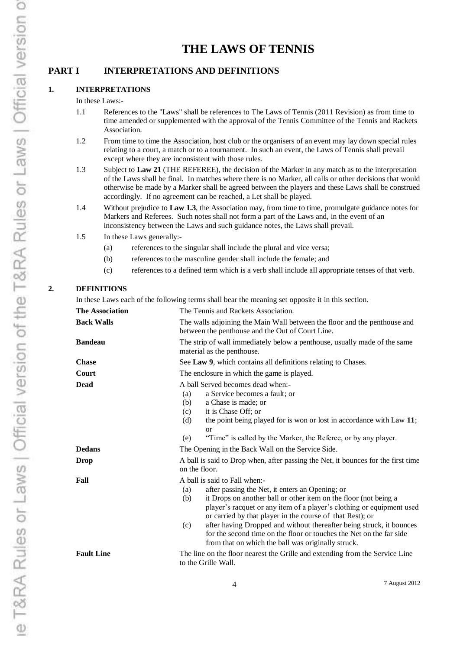# **THE LAWS OF TENNIS**

# **PART I INTERPRETATIONS AND DEFINITIONS**

#### **1. INTERPRETATIONS**

#### In these Laws:-

- 1.1 References to the "Laws" shall be references to The Laws of Tennis (2011 Revision) as from time to time amended or supplemented with the approval of the Tennis Committee of the Tennis and Rackets Association.
- 1.2 From time to time the Association, host club or the organisers of an event may lay down special rules relating to a court, a match or to a tournament. In such an event, the Laws of Tennis shall prevail except where they are inconsistent with those rules.
- 1.3 Subject to **Law 21** (THE REFEREE), the decision of the Marker in any match as to the interpretation of the Laws shall be final. In matches where there is no Marker, all calls or other decisions that would otherwise be made by a Marker shall be agreed between the players and these Laws shall be construed accordingly. If no agreement can be reached, a Let shall be played.
- 1.4 Without prejudice to **Law 1.3**, the Association may, from time to time, promulgate guidance notes for Markers and Referees. Such notes shall not form a part of the Laws and, in the event of an inconsistency between the Laws and such guidance notes, the Laws shall prevail.
- 1.5 In these Laws generally:-
	- (a) references to the singular shall include the plural and vice versa;
	- (b) references to the masculine gender shall include the female; and
	- (c) references to a defined term which is a verb shall include all appropriate tenses of that verb.

#### **2. DEFINITIONS**

In these Laws each of the following terms shall bear the meaning set opposite it in this section.

| <b>The Association</b> | The Tennis and Rackets Association.                                                                                                                                                                                                                                                                                                                                                                                                                                                                                  |  |
|------------------------|----------------------------------------------------------------------------------------------------------------------------------------------------------------------------------------------------------------------------------------------------------------------------------------------------------------------------------------------------------------------------------------------------------------------------------------------------------------------------------------------------------------------|--|
| <b>Back Walls</b>      | The walls adjoining the Main Wall between the floor and the penthouse and<br>between the penthouse and the Out of Court Line.                                                                                                                                                                                                                                                                                                                                                                                        |  |
| <b>Bandeau</b>         | The strip of wall immediately below a penthouse, usually made of the same<br>material as the penthouse.                                                                                                                                                                                                                                                                                                                                                                                                              |  |
| <b>Chase</b>           | See Law 9, which contains all definitions relating to Chases.                                                                                                                                                                                                                                                                                                                                                                                                                                                        |  |
| Court                  | The enclosure in which the game is played.                                                                                                                                                                                                                                                                                                                                                                                                                                                                           |  |
| Dead                   | A ball Served becomes dead when:-<br>a Service becomes a fault; or<br>(a)<br>a Chase is made; or<br>(b)<br>it is Chase Off; or<br>(c)<br>the point being played for is won or lost in accordance with Law 11;<br>(d)<br>or<br>"Time" is called by the Marker, the Referee, or by any player.<br>(e)                                                                                                                                                                                                                  |  |
| <b>Dedans</b>          | The Opening in the Back Wall on the Service Side.                                                                                                                                                                                                                                                                                                                                                                                                                                                                    |  |
| Drop                   | A ball is said to Drop when, after passing the Net, it bounces for the first time<br>on the floor.                                                                                                                                                                                                                                                                                                                                                                                                                   |  |
| Fall                   | A ball is said to Fall when:-<br>after passing the Net, it enters an Opening; or<br>(a)<br>it Drops on another ball or other item on the floor (not being a<br>(b)<br>player's racquet or any item of a player's clothing or equipment used<br>or carried by that player in the course of that Rest); or<br>after having Dropped and without thereafter being struck, it bounces<br>(c)<br>for the second time on the floor or touches the Net on the far side<br>from that on which the ball was originally struck. |  |
| <b>Fault Line</b>      | The line on the floor nearest the Grille and extending from the Service Line<br>to the Grille Wall.                                                                                                                                                                                                                                                                                                                                                                                                                  |  |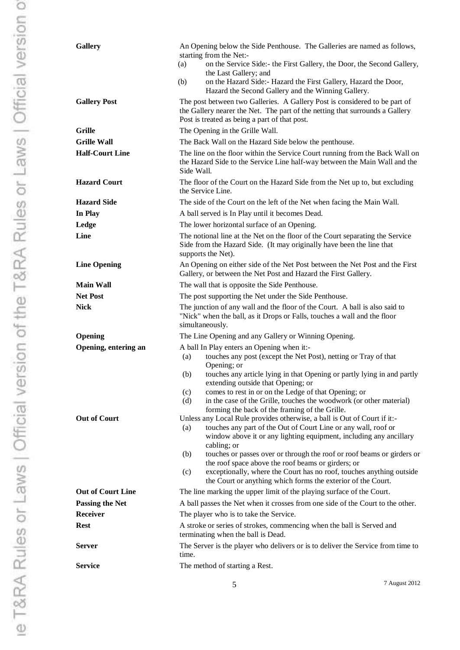| <b>Gallery</b>           | An Opening below the Side Penthouse. The Galleries are named as follows,<br>starting from the Net:-<br>on the Service Side:- the First Gallery, the Door, the Second Gallery,<br>(a)<br>the Last Gallery; and<br>on the Hazard Side:- Hazard the First Gallery, Hazard the Door,<br>(b)<br>Hazard the Second Gallery and the Winning Gallery.                                                                                                                                                                                |
|--------------------------|------------------------------------------------------------------------------------------------------------------------------------------------------------------------------------------------------------------------------------------------------------------------------------------------------------------------------------------------------------------------------------------------------------------------------------------------------------------------------------------------------------------------------|
| <b>Gallery Post</b>      | The post between two Galleries. A Gallery Post is considered to be part of<br>the Gallery nearer the Net. The part of the netting that surrounds a Gallery<br>Post is treated as being a part of that post.                                                                                                                                                                                                                                                                                                                  |
| Grille                   | The Opening in the Grille Wall.                                                                                                                                                                                                                                                                                                                                                                                                                                                                                              |
| <b>Grille Wall</b>       | The Back Wall on the Hazard Side below the penthouse.                                                                                                                                                                                                                                                                                                                                                                                                                                                                        |
| <b>Half-Court Line</b>   | The line on the floor within the Service Court running from the Back Wall on<br>the Hazard Side to the Service Line half-way between the Main Wall and the<br>Side Wall.                                                                                                                                                                                                                                                                                                                                                     |
| <b>Hazard Court</b>      | The floor of the Court on the Hazard Side from the Net up to, but excluding<br>the Service Line.                                                                                                                                                                                                                                                                                                                                                                                                                             |
| <b>Hazard Side</b>       | The side of the Court on the left of the Net when facing the Main Wall.                                                                                                                                                                                                                                                                                                                                                                                                                                                      |
| In Play                  | A ball served is In Play until it becomes Dead.                                                                                                                                                                                                                                                                                                                                                                                                                                                                              |
| Ledge                    | The lower horizontal surface of an Opening.                                                                                                                                                                                                                                                                                                                                                                                                                                                                                  |
| Line                     | The notional line at the Net on the floor of the Court separating the Service<br>Side from the Hazard Side. (It may originally have been the line that<br>supports the Net).                                                                                                                                                                                                                                                                                                                                                 |
| <b>Line Opening</b>      | An Opening on either side of the Net Post between the Net Post and the First<br>Gallery, or between the Net Post and Hazard the First Gallery.                                                                                                                                                                                                                                                                                                                                                                               |
| Main Wall                | The wall that is opposite the Side Penthouse.                                                                                                                                                                                                                                                                                                                                                                                                                                                                                |
| <b>Net Post</b>          | The post supporting the Net under the Side Penthouse.                                                                                                                                                                                                                                                                                                                                                                                                                                                                        |
| Nick                     | The junction of any wall and the floor of the Court. A ball is also said to<br>"Nick" when the ball, as it Drops or Falls, touches a wall and the floor<br>simultaneously.                                                                                                                                                                                                                                                                                                                                                   |
| Opening                  | The Line Opening and any Gallery or Winning Opening.                                                                                                                                                                                                                                                                                                                                                                                                                                                                         |
| Opening, entering an     | A ball In Play enters an Opening when it:-<br>touches any post (except the Net Post), netting or Tray of that<br>(a)<br>Opening; or<br>touches any article lying in that Opening or partly lying in and partly<br>(b)<br>extending outside that Opening; or<br>comes to rest in or on the Ledge of that Opening; or<br>(c)<br>in the case of the Grille, touches the woodwork (or other material)<br>(d)<br>forming the back of the framing of the Grille.                                                                   |
| <b>Out of Court</b>      | Unless any Local Rule provides otherwise, a ball is Out of Court if it:-<br>(a)<br>touches any part of the Out of Court Line or any wall, roof or<br>window above it or any lighting equipment, including any ancillary<br>cabling; or<br>touches or passes over or through the roof or roof beams or girders or<br>(b)<br>the roof space above the roof beams or girders; or<br>exceptionally, where the Court has no roof, touches anything outside<br>(c)<br>the Court or anything which forms the exterior of the Court. |
| <b>Out of Court Line</b> | The line marking the upper limit of the playing surface of the Court.                                                                                                                                                                                                                                                                                                                                                                                                                                                        |
| <b>Passing the Net</b>   | A ball passes the Net when it crosses from one side of the Court to the other.                                                                                                                                                                                                                                                                                                                                                                                                                                               |
| <b>Receiver</b>          | The player who is to take the Service.                                                                                                                                                                                                                                                                                                                                                                                                                                                                                       |
| Rest                     | A stroke or series of strokes, commencing when the ball is Served and<br>terminating when the ball is Dead.                                                                                                                                                                                                                                                                                                                                                                                                                  |
| Server                   | The Server is the player who delivers or is to deliver the Service from time to<br>time.                                                                                                                                                                                                                                                                                                                                                                                                                                     |
| Service                  | The method of starting a Rest.                                                                                                                                                                                                                                                                                                                                                                                                                                                                                               |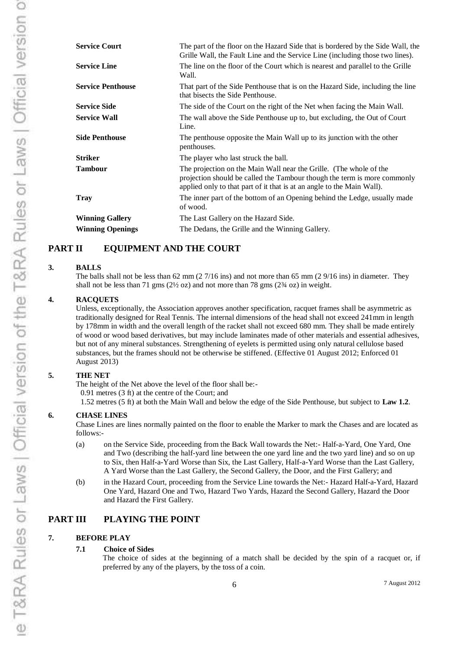| <b>Service Court</b><br>The part of the floor on the Hazard Side that is bordered by the Side Wall, the<br>Grille Wall, the Fault Line and the Service Line (including those two lines).<br>The line on the floor of the Court which is nearest and parallel to the Grille |  |
|----------------------------------------------------------------------------------------------------------------------------------------------------------------------------------------------------------------------------------------------------------------------------|--|
| <b>Service Line</b>                                                                                                                                                                                                                                                        |  |
| Wall.                                                                                                                                                                                                                                                                      |  |
| <b>Service Penthouse</b><br>That part of the Side Penthouse that is on the Hazard Side, including the line<br>that bisects the Side Penthouse.                                                                                                                             |  |
| <b>Service Side</b><br>The side of the Court on the right of the Net when facing the Main Wall.                                                                                                                                                                            |  |
| <b>Service Wall</b><br>The wall above the Side Penthouse up to, but excluding, the Out of Court<br>Line.                                                                                                                                                                   |  |
| <b>Side Penthouse</b><br>The penthouse opposite the Main Wall up to its junction with the other<br>penthouses.                                                                                                                                                             |  |
| <b>Striker</b><br>The player who last struck the ball.                                                                                                                                                                                                                     |  |
| <b>Tambour</b><br>The projection on the Main Wall near the Grille. (The whole of the<br>projection should be called the Tambour though the term is more commonly<br>applied only to that part of it that is at an angle to the Main Wall).                                 |  |
| The inner part of the bottom of an Opening behind the Ledge, usually made<br><b>Tray</b><br>of wood.                                                                                                                                                                       |  |
| <b>Winning Gallery</b><br>The Last Gallery on the Hazard Side.                                                                                                                                                                                                             |  |
| <b>Winning Openings</b><br>The Dedans, the Grille and the Winning Gallery.                                                                                                                                                                                                 |  |

# **PART II EQUIPMENT AND THE COURT**

#### **3. BALLS**

The balls shall not be less than 62 mm (2 7/16 ins) and not more than 65 mm (2 9/16 ins) in diameter. They shall not be less than 71 gms ( $2\frac{1}{2}$  oz) and not more than 78 gms ( $2\frac{3}{4}$  oz) in weight.

#### **4. RACQUETS**

Unless, exceptionally, the Association approves another specification, racquet frames shall be asymmetric as traditionally designed for Real Tennis. The internal dimensions of the head shall not exceed 241mm in length by 178mm in width and the overall length of the racket shall not exceed 680 mm. They shall be made entirely of wood or wood based derivatives, but may include laminates made of other materials and essential adhesives, but not of any mineral substances. Strengthening of eyelets is permitted using only natural cellulose based substances, but the frames should not be otherwise be stiffened. (Effective 01 August 2012; Enforced 01 August 2013)

#### **5. THE NET**

The height of the Net above the level of the floor shall be:-

0.91 metres (3 ft) at the centre of the Court; and

1.52 metres (5 ft) at both the Main Wall and below the edge of the Side Penthouse, but subject to **Law 1.2**.

#### **6. CHASE LINES**

Chase Lines are lines normally painted on the floor to enable the Marker to mark the Chases and are located as follows:-

- (a) on the Service Side, proceeding from the Back Wall towards the Net:- Half-a-Yard, One Yard, One and Two (describing the half-yard line between the one yard line and the two yard line) and so on up to Six, then Half-a-Yard Worse than Six, the Last Gallery, Half-a-Yard Worse than the Last Gallery, A Yard Worse than the Last Gallery, the Second Gallery, the Door, and the First Gallery; and
- (b) in the Hazard Court, proceeding from the Service Line towards the Net:- Hazard Half-a-Yard, Hazard One Yard, Hazard One and Two, Hazard Two Yards, Hazard the Second Gallery, Hazard the Door and Hazard the First Gallery.

# **PART III PLAYING THE POINT**

#### **7. BEFORE PLAY**

#### **7.1 Choice of Sides**

The choice of sides at the beginning of a match shall be decided by the spin of a racquet or, if preferred by any of the players, by the toss of a coin.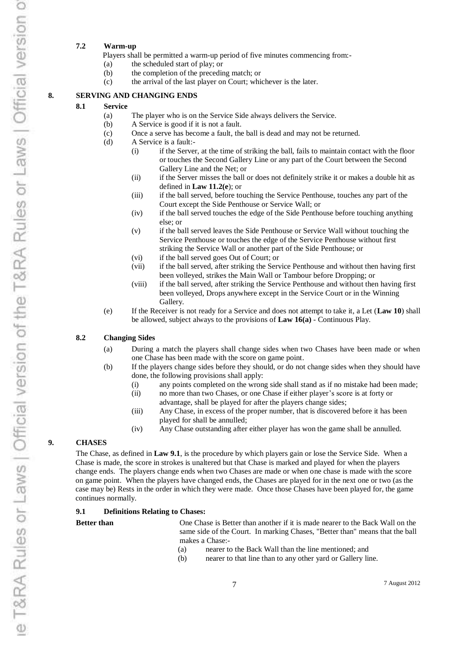#### **7.2 Warm-up**

Players shall be permitted a warm-up period of five minutes commencing from:-

- (a) the scheduled start of play; or
- (b) the completion of the preceding match; or
- (c) the arrival of the last player on Court; whichever is the later.

#### **8. SERVING AND CHANGING ENDS**

#### **8.1 Service**

- (a) The player who is on the Service Side always delivers the Service.
- (b) A Service is good if it is not a fault.
- (c) Once a serve has become a fault, the ball is dead and may not be returned.
- (d) A Service is a fault:-
	- (i) if the Server, at the time of striking the ball, fails to maintain contact with the floor or touches the Second Gallery Line or any part of the Court between the Second Gallery Line and the Net; or
	- (ii) if the Server misses the ball or does not definitely strike it or makes a double hit as defined in **Law 11.2(e**); or
	- (iii) if the ball served, before touching the Service Penthouse, touches any part of the Court except the Side Penthouse or Service Wall; or
	- (iv) if the ball served touches the edge of the Side Penthouse before touching anything else; or
	- (v) if the ball served leaves the Side Penthouse or Service Wall without touching the Service Penthouse or touches the edge of the Service Penthouse without first striking the Service Wall or another part of the Side Penthouse; or
	- (vi) if the ball served goes Out of Court; or
	- (vii) if the ball served, after striking the Service Penthouse and without then having first been volleyed, strikes the Main Wall or Tambour before Dropping; or
	- (viii) if the ball served, after striking the Service Penthouse and without then having first been volleyed, Drops anywhere except in the Service Court or in the Winning Gallery.
- (e) If the Receiver is not ready for a Service and does not attempt to take it, a Let (**Law 10**) shall be allowed, subject always to the provisions of **Law 16(a)** - Continuous Play.

#### **8.2 Changing Sides**

- (a) During a match the players shall change sides when two Chases have been made or when one Chase has been made with the score on game point.
- (b) If the players change sides before they should, or do not change sides when they should have done, the following provisions shall apply:
	- (i) any points completed on the wrong side shall stand as if no mistake had been made;
	- (ii) no more than two Chases, or one Chase if either player's score is at forty or advantage, shall be played for after the players change sides;
	- (iii) Any Chase, in excess of the proper number, that is discovered before it has been played for shall be annulled;
	- (iv) Any Chase outstanding after either player has won the game shall be annulled.

#### **9. CHASES**

The Chase, as defined in **Law 9.1**, is the procedure by which players gain or lose the Service Side. When a Chase is made, the score in strokes is unaltered but that Chase is marked and played for when the players change ends. The players change ends when two Chases are made or when one chase is made with the score on game point. When the players have changed ends, the Chases are played for in the next one or two (as the case may be) Rests in the order in which they were made. Once those Chases have been played for, the game continues normally.

#### **9.1 Definitions Relating to Chases:**

- **Better than** One Chase is Better than another if it is made nearer to the Back Wall on the same side of the Court. In marking Chases, "Better than" means that the ball makes a Chase:-
	- (a) nearer to the Back Wall than the line mentioned; and
	- (b) nearer to that line than to any other yard or Gallery line.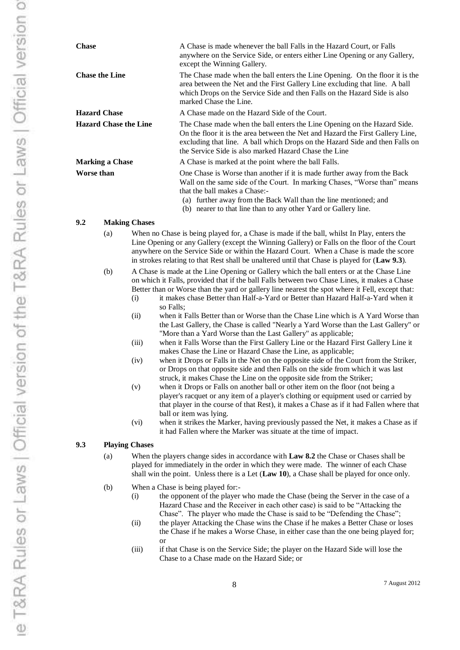| <b>Chase</b>                 | A Chase is made whenever the ball Falls in the Hazard Court, or Falls<br>anywhere on the Service Side, or enters either Line Opening or any Gallery,<br>except the Winning Gallery.                                                                                                                                              |
|------------------------------|----------------------------------------------------------------------------------------------------------------------------------------------------------------------------------------------------------------------------------------------------------------------------------------------------------------------------------|
| <b>Chase the Line</b>        | The Chase made when the ball enters the Line Opening. On the floor it is the<br>area between the Net and the First Gallery Line excluding that line. A ball<br>which Drops on the Service Side and then Falls on the Hazard Side is also<br>marked Chase the Line.                                                               |
| <b>Hazard Chase</b>          | A Chase made on the Hazard Side of the Court.                                                                                                                                                                                                                                                                                    |
| <b>Hazard Chase the Line</b> | The Chase made when the ball enters the Line Opening on the Hazard Side.<br>On the floor it is the area between the Net and Hazard the First Gallery Line,<br>excluding that line. A ball which Drops on the Hazard Side and then Falls on<br>the Service Side is also marked Hazard Chase the Line                              |
| <b>Marking a Chase</b>       | A Chase is marked at the point where the ball Falls.                                                                                                                                                                                                                                                                             |
| Worse than                   | One Chase is Worse than another if it is made further away from the Back<br>Wall on the same side of the Court. In marking Chases, "Worse than" means<br>that the ball makes a Chase:-<br>further away from the Back Wall than the line mentioned; and<br>(a)<br>(b) nearer to that line than to any other Yard or Gallery line. |
|                              |                                                                                                                                                                                                                                                                                                                                  |

#### **9.2 Making Chases**

- (a) When no Chase is being played for, a Chase is made if the ball, whilst In Play, enters the Line Opening or any Gallery (except the Winning Gallery) or Falls on the floor of the Court anywhere on the Service Side or within the Hazard Court. When a Chase is made the score in strokes relating to that Rest shall be unaltered until that Chase is played for (**Law 9.3**).
- (b) A Chase is made at the Line Opening or Gallery which the ball enters or at the Chase Line on which it Falls, provided that if the ball Falls between two Chase Lines, it makes a Chase Better than or Worse than the yard or gallery line nearest the spot where it Fell, except that:
	- (i) it makes chase Better than Half-a-Yard or Better than Hazard Half-a-Yard when it so Falls;
	- (ii) when it Falls Better than or Worse than the Chase Line which is A Yard Worse than the Last Gallery, the Chase is called "Nearly a Yard Worse than the Last Gallery" or "More than a Yard Worse than the Last Gallery" as applicable;
	- (iii) when it Falls Worse than the First Gallery Line or the Hazard First Gallery Line it makes Chase the Line or Hazard Chase the Line, as applicable;
	- (iv) when it Drops or Falls in the Net on the opposite side of the Court from the Striker, or Drops on that opposite side and then Falls on the side from which it was last struck, it makes Chase the Line on the opposite side from the Striker;
	- (v) when it Drops or Falls on another ball or other item on the floor (not being a player's racquet or any item of a player's clothing or equipment used or carried by that player in the course of that Rest), it makes a Chase as if it had Fallen where that ball or item was lying.
	- (vi) when it strikes the Marker, having previously passed the Net, it makes a Chase as if it had Fallen where the Marker was situate at the time of impact.

#### **9.3 Playing Chases**

- (a) When the players change sides in accordance with **Law 8.2** the Chase or Chases shall be played for immediately in the order in which they were made. The winner of each Chase shall win the point. Unless there is a Let (**Law 10**), a Chase shall be played for once only.
- (b) When a Chase is being played for:-
	- (i) the opponent of the player who made the Chase (being the Server in the case of a Hazard Chase and the Receiver in each other case) is said to be "Attacking the Chase". The player who made the Chase is said to be "Defending the Chase";
	- (ii) the player Attacking the Chase wins the Chase if he makes a Better Chase or loses the Chase if he makes a Worse Chase, in either case than the one being played for; or
	- (iii) if that Chase is on the Service Side; the player on the Hazard Side will lose the Chase to a Chase made on the Hazard Side; or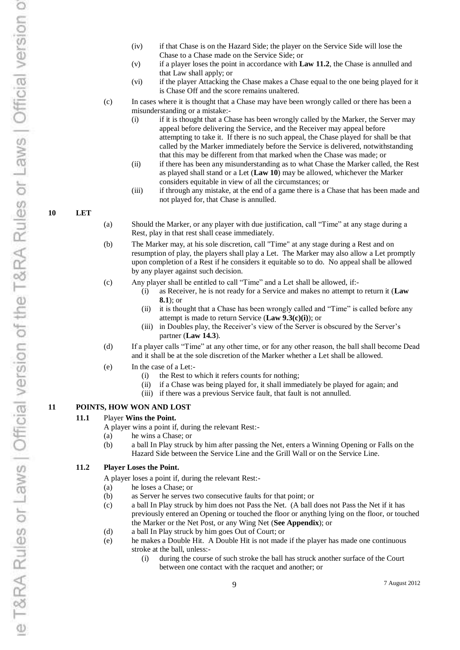- (iv) if that Chase is on the Hazard Side; the player on the Service Side will lose the Chase to a Chase made on the Service Side; or
- (v) if a player loses the point in accordance with **Law 11.2**, the Chase is annulled and that Law shall apply; or
- (vi) if the player Attacking the Chase makes a Chase equal to the one being played for it is Chase Off and the score remains unaltered.

(c) In cases where it is thought that a Chase may have been wrongly called or there has been a misunderstanding or a mistake:-

- (i) if it is thought that a Chase has been wrongly called by the Marker, the Server may appeal before delivering the Service, and the Receiver may appeal before attempting to take it. If there is no such appeal, the Chase played for shall be that called by the Marker immediately before the Service is delivered, notwithstanding that this may be different from that marked when the Chase was made; or
- (ii) if there has been any misunderstanding as to what Chase the Marker called, the Rest as played shall stand or a Let (**Law 10**) may be allowed, whichever the Marker considers equitable in view of all the circumstances; or
- (iii) if through any mistake, at the end of a game there is a Chase that has been made and not played for, that Chase is annulled.

#### **10 LET**

- (a) Should the Marker, or any player with due justification, call "Time" at any stage during a Rest, play in that rest shall cease immediately.
- (b) The Marker may, at his sole discretion, call "Time" at any stage during a Rest and on resumption of play, the players shall play a Let. The Marker may also allow a Let promptly upon completion of a Rest if he considers it equitable so to do. No appeal shall be allowed by any player against such decision.
- (c) Any player shall be entitled to call "Time" and a Let shall be allowed, if:-
	- (i) as Receiver, he is not ready for a Service and makes no attempt to return it (**Law 8.1**); or
	- (ii) it is thought that a Chase has been wrongly called and "Time" is called before any attempt is made to return Service (**Law 9.3(c)(i)**); or
	- (iii) in Doubles play, the Receiver's view of the Server is obscured by the Server's partner (**Law 14.3**).
- (d) If a player calls "Time" at any other time, or for any other reason, the ball shall become Dead and it shall be at the sole discretion of the Marker whether a Let shall be allowed.
- (e) In the case of a Let:-
	- (i) the Rest to which it refers counts for nothing;
	- (ii) if a Chase was being played for, it shall immediately be played for again; and
	- (iii) if there was a previous Service fault, that fault is not annulled.

#### **11 POINTS, HOW WON AND LOST**

#### **11.1** Player **Wins the Point.**

A player wins a point if, during the relevant Rest:-

- (a) he wins a Chase; or
- (b) a ball In Play struck by him after passing the Net, enters a Winning Opening or Falls on the Hazard Side between the Service Line and the Grill Wall or on the Service Line.

#### **11.2 Player Loses the Point.**

A player loses a point if, during the relevant Rest:-

- (a) he loses a Chase; or
- (b) as Server he serves two consecutive faults for that point; or
- (c) a ball In Play struck by him does not Pass the Net. (A ball does not Pass the Net if it has previously entered an Opening or touched the floor or anything lying on the floor, or touched the Marker or the Net Post, or any Wing Net (**See Appendix**); or
- (d) a ball In Play struck by him goes Out of Court; or
- (e) he makes a Double Hit. A Double Hit is not made if the player has made one continuous stroke at the ball, unless:-
	- (i) during the course of such stroke the ball has struck another surface of the Court between one contact with the racquet and another; or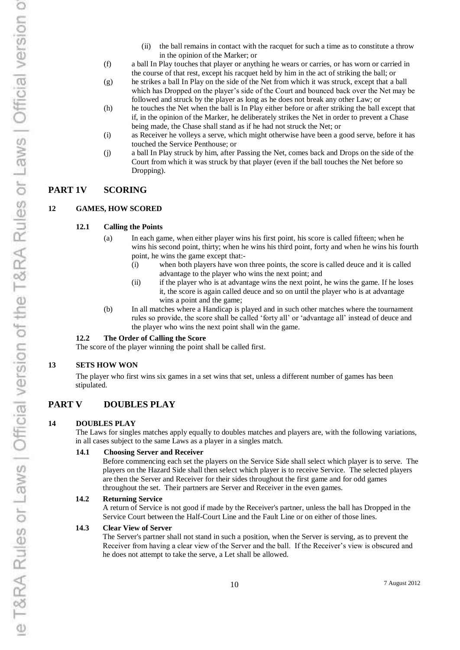- (ii) the ball remains in contact with the racquet for such a time as to constitute a throw in the opinion of the Marker; or
- (f) a ball In Play touches that player or anything he wears or carries, or has worn or carried in the course of that rest, except his racquet held by him in the act of striking the ball; or
- (g) he strikes a ball In Play on the side of the Net from which it was struck, except that a ball which has Dropped on the player's side of the Court and bounced back over the Net may be followed and struck by the player as long as he does not break any other Law; or
- (h) he touches the Net when the ball is In Play either before or after striking the ball except that if, in the opinion of the Marker, he deliberately strikes the Net in order to prevent a Chase being made, the Chase shall stand as if he had not struck the Net; or
- (i) as Receiver he volleys a serve, which might otherwise have been a good serve, before it has touched the Service Penthouse; or
- (j) a ball In Play struck by him, after Passing the Net, comes back and Drops on the side of the Court from which it was struck by that player (even if the ball touches the Net before so Dropping).

#### **PART 1V SCORING**

#### **12 GAMES, HOW SCORED**

#### **12.1 Calling the Points**

- (a) In each game, when either player wins his first point, his score is called fifteen; when he wins his second point, thirty; when he wins his third point, forty and when he wins his fourth point, he wins the game except that:-
	- (i) when both players have won three points, the score is called deuce and it is called advantage to the player who wins the next point; and
	- (ii) if the player who is at advantage wins the next point, he wins the game. If he loses it, the score is again called deuce and so on until the player who is at advantage wins a point and the game;
- (b) In all matches where a Handicap is played and in such other matches where the tournament rules so provide, the score shall be called 'forty all' or 'advantage all' instead of deuce and the player who wins the next point shall win the game.

#### **12.2 The Order of Calling the Score**

The score of the player winning the point shall be called first.

#### **13 SETS HOW WON**

The player who first wins six games in a set wins that set, unless a different number of games has been stipulated.

# **PART V DOUBLES PLAY**

#### **14 DOUBLES PLAY**

The Laws for singles matches apply equally to doubles matches and players are, with the following variations, in all cases subject to the same Laws as a player in a singles match.

#### **14.1 Choosing Server and Receiver**

Before commencing each set the players on the Service Side shall select which player is to serve. The players on the Hazard Side shall then select which player is to receive Service. The selected players are then the Server and Receiver for their sides throughout the first game and for odd games throughout the set. Their partners are Server and Receiver in the even games.

#### **14.2 Returning Service**

A return of Service is not good if made by the Receiver's partner, unless the ball has Dropped in the Service Court between the Half-Court Line and the Fault Line or on either of those lines.

#### **14.3 Clear View of Server**

The Server's partner shall not stand in such a position, when the Server is serving, as to prevent the Receiver from having a clear view of the Server and the ball. If the Receiver's view is obscured and he does not attempt to take the serve, a Let shall be allowed.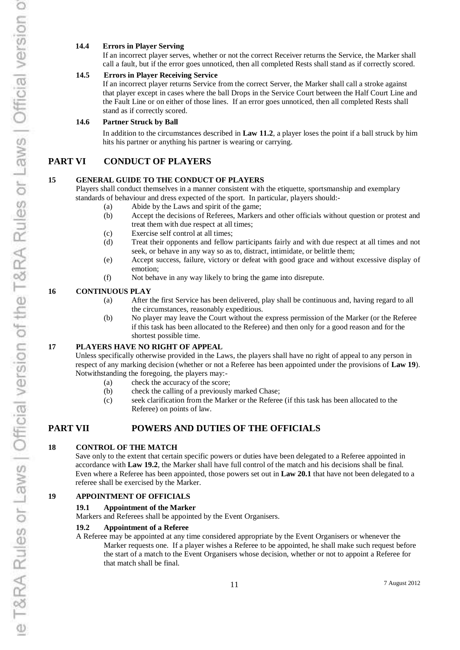#### **14.4 Errors in Player Serving**

If an incorrect player serves, whether or not the correct Receiver returns the Service, the Marker shall call a fault, but if the error goes unnoticed, then all completed Rests shall stand as if correctly scored.

#### **14.5 Errors in Player Receiving Service**

If an incorrect player returns Service from the correct Server, the Marker shall call a stroke against that player except in cases where the ball Drops in the Service Court between the Half Court Line and the Fault Line or on either of those lines. If an error goes unnoticed, then all completed Rests shall stand as if correctly scored.

#### **14.6 Partner Struck by Ball**

In addition to the circumstances described in **Law 11.2**, a player loses the point if a ball struck by him hits his partner or anything his partner is wearing or carrying.

#### **PART VI CONDUCT OF PLAYERS**

#### **15 GENERAL GUIDE TO THE CONDUCT OF PLAYERS**

Players shall conduct themselves in a manner consistent with the etiquette, sportsmanship and exemplary standards of behaviour and dress expected of the sport. In particular, players should:-

- (a) Abide by the Laws and spirit of the game;
- (b) Accept the decisions of Referees, Markers and other officials without question or protest and treat them with due respect at all times;
- (c) Exercise self control at all times;
- (d) Treat their opponents and fellow participants fairly and with due respect at all times and not seek, or behave in any way so as to, distract, intimidate, or belittle them;
- (e) Accept success, failure, victory or defeat with good grace and without excessive display of emotion;
- (f) Not behave in any way likely to bring the game into disrepute.

#### **16 CONTINUOUS PLAY**

- (a) After the first Service has been delivered, play shall be continuous and, having regard to all the circumstances, reasonably expeditious.
- (b) No player may leave the Court without the express permission of the Marker (or the Referee if this task has been allocated to the Referee) and then only for a good reason and for the shortest possible time.

#### **17 PLAYERS HAVE NO RIGHT OF APPEAL**

Unless specifically otherwise provided in the Laws, the players shall have no right of appeal to any person in respect of any marking decision (whether or not a Referee has been appointed under the provisions of **Law 19**). Notwithstanding the foregoing, the players may:-

- (a) check the accuracy of the score;
- (b) check the calling of a previously marked Chase;
- (c) seek clarification from the Marker or the Referee (if this task has been allocated to the Referee) on points of law.

# **PART VII POWERS AND DUTIES OF THE OFFICIALS**

#### **18 CONTROL OF THE MATCH**

Save only to the extent that certain specific powers or duties have been delegated to a Referee appointed in accordance with **Law 19.2**, the Marker shall have full control of the match and his decisions shall be final. Even where a Referee has been appointed, those powers set out in **Law 20.1** that have not been delegated to a referee shall be exercised by the Marker.

#### **19 APPOINTMENT OF OFFICIALS**

#### **19.1 Appointment of the Marker**

Markers and Referees shall be appointed by the Event Organisers.

#### **19.2 Appointment of a Referee**

A Referee may be appointed at any time considered appropriate by the Event Organisers or whenever the Marker requests one. If a player wishes a Referee to be appointed, he shall make such request before the start of a match to the Event Organisers whose decision, whether or not to appoint a Referee for that match shall be final.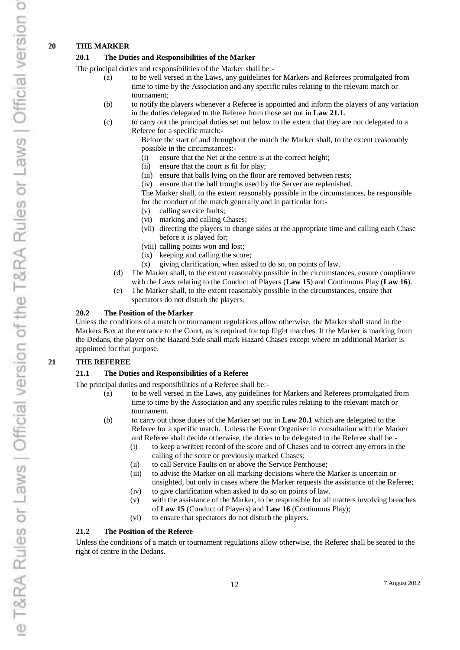#### **20 THE MARKER**

#### **20.1 The Duties and Responsibilities of the Marker**

The principal duties and responsibilities of the Marker shall be:-

- (a) to be well versed in the Laws, any guidelines for Markers and Referees promulgated from time to time by the Association and any specific rules relating to the relevant match or tournament;
- (b) to notify the players whenever a Referee is appointed and inform the players of any variation in the duties delegated to the Referee from those set out in **Law 21.1**.
- (c) to carry out the principal duties set out below to the extent that they are not delegated to a Referee for a specific match:-

Before the start of and throughout the match the Marker shall, to the extent reasonably possible in the circumstances:-

- (i) ensure that the Net at the centre is at the correct height;
- (ii) ensure that the court is fit for play;
- (iii) ensure that balls lying on the floor are removed between rests;
- (iv) ensure that the ball troughs used by the Server are replenished.

The Marker shall, to the extent reasonably possible in the circumstances, be responsible for the conduct of the match generally and in particular for:-

- (v) calling service faults;
- (vi) marking and calling Chases;
- (vii) directing the players to change sides at the appropriate time and calling each Chase before it is played for;
- (viii) calling points won and lost;
- (ix) keeping and calling the score;
- (x) giving clarification, when asked to do so, on points of law.
- (d) The Marker shall, to the extent reasonably possible in the circumstances, ensure compliance with the Laws relating to the Conduct of Players (**Law 15**) and Continuous Play (**Law 16**).
- (e) The Marker shall, to the extent reasonably possible in the circumstances, ensure that spectators do not disturb the players.

#### **20.2 The Position of the Marker**

Unless the conditions of a match or tournament regulations allow otherwise, the Marker shall stand in the Markers Box at the entrance to the Court, as is required for top flight matches. If the Marker is marking from the Dedans, the player on the Hazard Side shall mark Hazard Chases except where an additional Marker is appointed for that purpose.

#### **21 THE REFEREE**

#### **21.1 The Duties and Responsibilities of a Referee**

The principal duties and responsibilities of a Referee shall be:-

- (a) to be well versed in the Laws, any guidelines for Markers and Referees promulgated from time to time by the Association and any specific rules relating to the relevant match or tournament.
- (b) to carry out those duties of the Marker set out in **Law 20.1** which are delegated to the Referee for a specific match. Unless the Event Organiser in consultation with the Marker and Referee shall decide otherwise, the duties to be delegated to the Referee shall be:-
	- (i) to keep a written record of the score and of Chases and to correct any errors in the calling of the score or previously marked Chases;
	- (ii) to call Service Faults on or above the Service Penthouse;
	- (iii) to advise the Marker on all marking decisions where the Marker is uncertain or unsighted, but only in cases where the Marker requests the assistance of the Referee;
	- (iv) to give clarification when asked to do so on points of law.
	- (v) with the assistance of the Marker, to be responsible for all matters involving breaches of **Law 15** (Conduct of Players) and **Law 16** (Continuous Play);
	- (vi) to ensure that spectators do not disturb the players.

#### **21.2 The Position of the Referee**

Unless the conditions of a match or tournament regulations allow otherwise, the Referee shall be seated to the right of centre in the Dedans.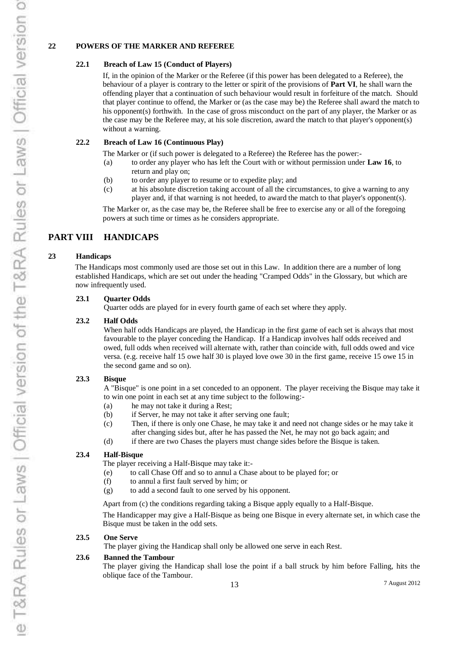#### **22 POWERS OF THE MARKER AND REFEREE**

#### **22.1 Breach of Law 15 (Conduct of Players)**

If, in the opinion of the Marker or the Referee (if this power has been delegated to a Referee), the behaviour of a player is contrary to the letter or spirit of the provisions of **Part VI**, he shall warn the offending player that a continuation of such behaviour would result in forfeiture of the match. Should that player continue to offend, the Marker or (as the case may be) the Referee shall award the match to his opponent(s) forthwith. In the case of gross misconduct on the part of any player, the Marker or as the case may be the Referee may, at his sole discretion, award the match to that player's opponent(s) without a warning.

#### **22.2 Breach of Law 16 (Continuous Play)**

The Marker or (if such power is delegated to a Referee) the Referee has the power:-

- (a) to order any player who has left the Court with or without permission under **Law 16**, to return and play on;
- (b) to order any player to resume or to expedite play; and
- (c) at his absolute discretion taking account of all the circumstances, to give a warning to any player and, if that warning is not heeded, to award the match to that player's opponent(s).

The Marker or, as the case may be, the Referee shall be free to exercise any or all of the foregoing powers at such time or times as he considers appropriate.

# **PART VIII HANDICAPS**

#### **23 Handicaps**

The Handicaps most commonly used are those set out in this Law. In addition there are a number of long established Handicaps, which are set out under the heading "Cramped Odds" in the Glossary, but which are now infrequently used.

#### **23.1 Quarter Odds**

Quarter odds are played for in every fourth game of each set where they apply.

#### **23.2 Half Odds**

When half odds Handicaps are played, the Handicap in the first game of each set is always that most favourable to the player conceding the Handicap. If a Handicap involves half odds received and owed, full odds when received will alternate with, rather than coincide with, full odds owed and vice versa. (e.g. receive half 15 owe half 30 is played love owe 30 in the first game, receive 15 owe 15 in the second game and so on).

#### **23.3 Bisque**

A "Bisque" is one point in a set conceded to an opponent. The player receiving the Bisque may take it to win one point in each set at any time subject to the following:-

- (a) he may not take it during a Rest;
- (b) if Server, he may not take it after serving one fault;
- (c) Then, if there is only one Chase, he may take it and need not change sides or he may take it after changing sides but, after he has passed the Net, he may not go back again; and
- (d) if there are two Chases the players must change sides before the Bisque is taken.

#### **23.4 Half-Bisque**

The player receiving a Half-Bisque may take it:-

- (e) to call Chase Off and so to annul a Chase about to be played for; or
- (f) to annul a first fault served by him; or
- (g) to add a second fault to one served by his opponent.

Apart from (c) the conditions regarding taking a Bisque apply equally to a Half-Bisque.

The Handicapper may give a Half-Bisque as being one Bisque in every alternate set, in which case the Bisque must be taken in the odd sets.

#### **23.5 One Serve**

The player giving the Handicap shall only be allowed one serve in each Rest.

#### **23.6 Banned the Tambour**

The player giving the Handicap shall lose the point if a ball struck by him before Falling, hits the oblique face of the Tambour.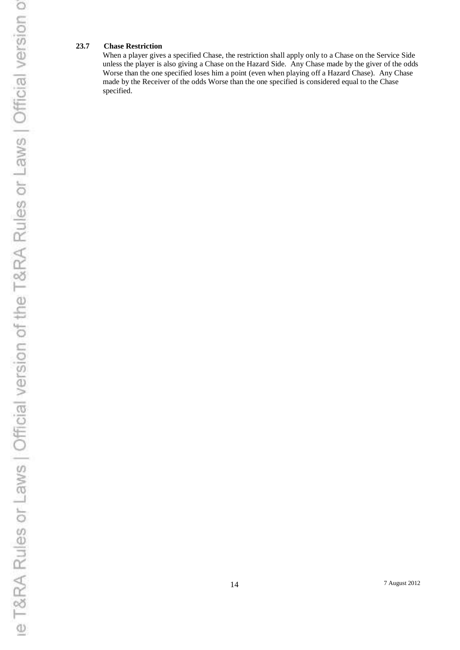#### **23.7 Chase Restriction**

When a player gives a specified Chase, the restriction shall apply only to a Chase on the Service Side unless the player is also giving a Chase on the Hazard Side. Any Chase made by the giver of the odds Worse than the one specified loses him a point (even when playing off a Hazard Chase). Any Chase made by the Receiver of the odds Worse than the one specified is considered equal to the Chase specified.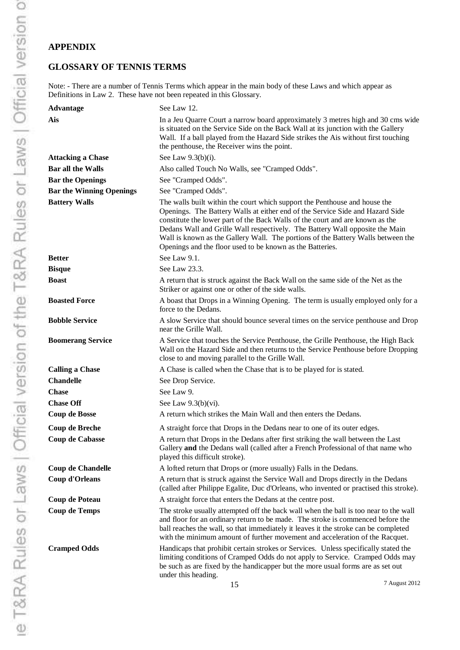# **APPENDIX**

# **GLOSSARY OF TENNIS TERMS**

Note: - There are a number of Tennis Terms which appear in the main body of these Laws and which appear as Definitions in Law 2. These have not been repeated in this Glossary.

| <b>Advantage</b>                | See Law 12.                                                                                                                                                                                                                                                                                                                                                                                                                                                                   |
|---------------------------------|-------------------------------------------------------------------------------------------------------------------------------------------------------------------------------------------------------------------------------------------------------------------------------------------------------------------------------------------------------------------------------------------------------------------------------------------------------------------------------|
| Ais                             | In a Jeu Quarre Court a narrow board approximately 3 metres high and 30 cms wide<br>is situated on the Service Side on the Back Wall at its junction with the Gallery<br>Wall. If a ball played from the Hazard Side strikes the Ais without first touching<br>the penthouse, the Receiver wins the point.                                                                                                                                                                    |
| <b>Attacking a Chase</b>        | See Law 9.3(b)(i).                                                                                                                                                                                                                                                                                                                                                                                                                                                            |
| <b>Bar all the Walls</b>        | Also called Touch No Walls, see "Cramped Odds".                                                                                                                                                                                                                                                                                                                                                                                                                               |
| <b>Bar the Openings</b>         | See "Cramped Odds".                                                                                                                                                                                                                                                                                                                                                                                                                                                           |
| <b>Bar the Winning Openings</b> | See "Cramped Odds".                                                                                                                                                                                                                                                                                                                                                                                                                                                           |
| <b>Battery Walls</b>            | The walls built within the court which support the Penthouse and house the<br>Openings. The Battery Walls at either end of the Service Side and Hazard Side<br>constitute the lower part of the Back Walls of the court and are known as the<br>Dedans Wall and Grille Wall respectively. The Battery Wall opposite the Main<br>Wall is known as the Gallery Wall. The portions of the Battery Walls between the<br>Openings and the floor used to be known as the Batteries. |
| <b>Better</b>                   | See Law 9.1.                                                                                                                                                                                                                                                                                                                                                                                                                                                                  |
| <b>Bisque</b>                   | See Law 23.3.                                                                                                                                                                                                                                                                                                                                                                                                                                                                 |
| <b>Boast</b>                    | A return that is struck against the Back Wall on the same side of the Net as the<br>Striker or against one or other of the side walls.                                                                                                                                                                                                                                                                                                                                        |
| <b>Boasted Force</b>            | A boast that Drops in a Winning Opening. The term is usually employed only for a<br>force to the Dedans.                                                                                                                                                                                                                                                                                                                                                                      |
| <b>Bobble Service</b>           | A slow Service that should bounce several times on the service penthouse and Drop<br>near the Grille Wall.                                                                                                                                                                                                                                                                                                                                                                    |
| <b>Boomerang Service</b>        | A Service that touches the Service Penthouse, the Grille Penthouse, the High Back<br>Wall on the Hazard Side and then returns to the Service Penthouse before Dropping<br>close to and moving parallel to the Grille Wall.                                                                                                                                                                                                                                                    |
| <b>Calling a Chase</b>          | A Chase is called when the Chase that is to be played for is stated.                                                                                                                                                                                                                                                                                                                                                                                                          |
| <b>Chandelle</b>                | See Drop Service.                                                                                                                                                                                                                                                                                                                                                                                                                                                             |
| <b>Chase</b>                    | See Law 9.                                                                                                                                                                                                                                                                                                                                                                                                                                                                    |
| <b>Chase Off</b>                | See Law $9.3(b)(vi)$ .                                                                                                                                                                                                                                                                                                                                                                                                                                                        |
| <b>Coup de Bosse</b>            | A return which strikes the Main Wall and then enters the Dedans.                                                                                                                                                                                                                                                                                                                                                                                                              |
| <b>Coup de Breche</b>           | A straight force that Drops in the Dedans near to one of its outer edges.                                                                                                                                                                                                                                                                                                                                                                                                     |
| <b>Coup de Cabasse</b>          | A return that Drops in the Dedans after first striking the wall between the Last<br>Gallery and the Dedans wall (called after a French Professional of that name who<br>played this difficult stroke).                                                                                                                                                                                                                                                                        |
| <b>Coup de Chandelle</b>        | A lofted return that Drops or (more usually) Falls in the Dedans.                                                                                                                                                                                                                                                                                                                                                                                                             |
| <b>Coup d'Orleans</b>           | A return that is struck against the Service Wall and Drops directly in the Dedans<br>(called after Philippe Egalite, Duc d'Orleans, who invented or practised this stroke).                                                                                                                                                                                                                                                                                                   |
| <b>Coup de Poteau</b>           | A straight force that enters the Dedans at the centre post.                                                                                                                                                                                                                                                                                                                                                                                                                   |
| <b>Coup de Temps</b>            | The stroke usually attempted off the back wall when the ball is too near to the wall<br>and floor for an ordinary return to be made. The stroke is commenced before the<br>ball reaches the wall, so that immediately it leaves it the stroke can be completed<br>with the minimum amount of further movement and acceleration of the Racquet.                                                                                                                                |
| <b>Cramped Odds</b>             | Handicaps that prohibit certain strokes or Services. Unless specifically stated the<br>limiting conditions of Cramped Odds do not apply to Service. Cramped Odds may<br>be such as are fixed by the handicapper but the more usual forms are as set out<br>under this heading.                                                                                                                                                                                                |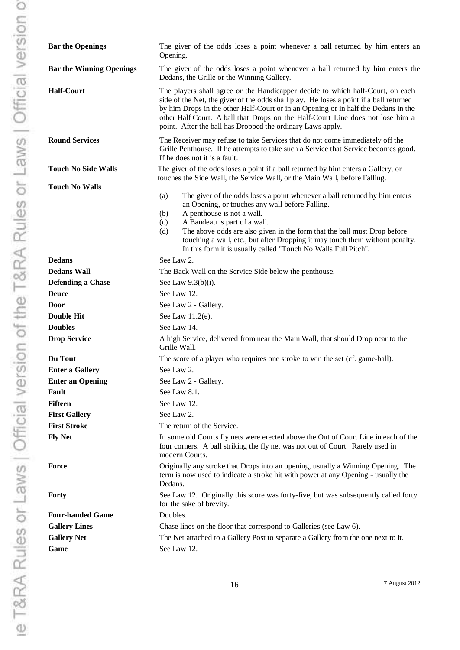| <b>Bar the Openings</b>         | The giver of the odds loses a point whenever a ball returned by him enters an<br>Opening.                                                                                                                                                                                                                                                                                                                                                             |
|---------------------------------|-------------------------------------------------------------------------------------------------------------------------------------------------------------------------------------------------------------------------------------------------------------------------------------------------------------------------------------------------------------------------------------------------------------------------------------------------------|
| <b>Bar the Winning Openings</b> | The giver of the odds loses a point whenever a ball returned by him enters the<br>Dedans, the Grille or the Winning Gallery.                                                                                                                                                                                                                                                                                                                          |
| <b>Half-Court</b>               | The players shall agree or the Handicapper decide to which half-Court, on each<br>side of the Net, the giver of the odds shall play. He loses a point if a ball returned<br>by him Drops in the other Half-Court or in an Opening or in half the Dedans in the<br>other Half Court. A ball that Drops on the Half-Court Line does not lose him a<br>point. After the ball has Dropped the ordinary Laws apply.                                        |
| <b>Round Services</b>           | The Receiver may refuse to take Services that do not come immediately off the<br>Grille Penthouse. If he attempts to take such a Service that Service becomes good.<br>If he does not it is a fault.                                                                                                                                                                                                                                                  |
| <b>Touch No Side Walls</b>      | The giver of the odds loses a point if a ball returned by him enters a Gallery, or<br>touches the Side Wall, the Service Wall, or the Main Wall, before Falling.                                                                                                                                                                                                                                                                                      |
| <b>Touch No Walls</b>           |                                                                                                                                                                                                                                                                                                                                                                                                                                                       |
|                                 | The giver of the odds loses a point whenever a ball returned by him enters<br>(a)<br>an Opening, or touches any wall before Falling.<br>A penthouse is not a wall.<br>(b)<br>A Bandeau is part of a wall.<br>(c)<br>The above odds are also given in the form that the ball must Drop before<br>(d)<br>touching a wall, etc., but after Dropping it may touch them without penalty.<br>In this form it is usually called "Touch No Walls Full Pitch". |
| <b>Dedans</b>                   | See Law 2.                                                                                                                                                                                                                                                                                                                                                                                                                                            |
| Dedans Wall                     | The Back Wall on the Service Side below the penthouse.                                                                                                                                                                                                                                                                                                                                                                                                |
| <b>Defending a Chase</b>        | See Law $9.3(b)(i)$ .                                                                                                                                                                                                                                                                                                                                                                                                                                 |
| Deuce                           | See Law 12.                                                                                                                                                                                                                                                                                                                                                                                                                                           |
| Door                            | See Law 2 - Gallery.                                                                                                                                                                                                                                                                                                                                                                                                                                  |
| Double Hit                      | See Law 11.2(e).                                                                                                                                                                                                                                                                                                                                                                                                                                      |
| <b>Doubles</b>                  | See Law 14.                                                                                                                                                                                                                                                                                                                                                                                                                                           |
| <b>Drop Service</b>             | A high Service, delivered from near the Main Wall, that should Drop near to the<br>Grille Wall.                                                                                                                                                                                                                                                                                                                                                       |
| Du Tout                         | The score of a player who requires one stroke to win the set (cf. game-ball).                                                                                                                                                                                                                                                                                                                                                                         |
| <b>Enter a Gallery</b>          | See Law 2.                                                                                                                                                                                                                                                                                                                                                                                                                                            |
| <b>Enter an Opening</b>         | See Law 2 - Gallery.                                                                                                                                                                                                                                                                                                                                                                                                                                  |
| Fault                           | See Law 8.1.                                                                                                                                                                                                                                                                                                                                                                                                                                          |
| Fifteen                         | See Law 12.                                                                                                                                                                                                                                                                                                                                                                                                                                           |
| <b>First Gallery</b>            | See Law 2.                                                                                                                                                                                                                                                                                                                                                                                                                                            |
| <b>First Stroke</b>             | The return of the Service.                                                                                                                                                                                                                                                                                                                                                                                                                            |
| <b>Fly Net</b>                  | In some old Courts fly nets were erected above the Out of Court Line in each of the<br>four corners. A ball striking the fly net was not out of Court. Rarely used in<br>modern Courts.                                                                                                                                                                                                                                                               |
| Force                           | Originally any stroke that Drops into an opening, usually a Winning Opening. The<br>term is now used to indicate a stroke hit with power at any Opening - usually the<br>Dedans.                                                                                                                                                                                                                                                                      |
| Forty                           | See Law 12. Originally this score was forty-five, but was subsequently called forty<br>for the sake of brevity.                                                                                                                                                                                                                                                                                                                                       |
| <b>Four-handed Game</b>         | Doubles.                                                                                                                                                                                                                                                                                                                                                                                                                                              |
| <b>Gallery Lines</b>            | Chase lines on the floor that correspond to Galleries (see Law 6).                                                                                                                                                                                                                                                                                                                                                                                    |
| <b>Gallery Net</b>              | The Net attached to a Gallery Post to separate a Gallery from the one next to it.                                                                                                                                                                                                                                                                                                                                                                     |
| Game                            | See Law 12.                                                                                                                                                                                                                                                                                                                                                                                                                                           |
|                                 |                                                                                                                                                                                                                                                                                                                                                                                                                                                       |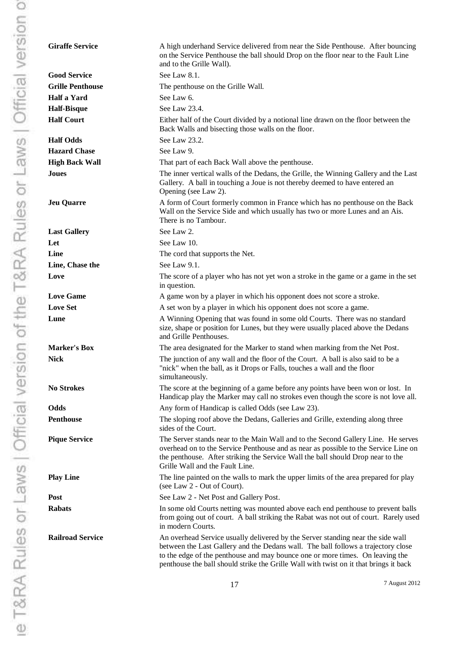| <b>Giraffe Service</b>  | A high underhand Service delivered from near the Side Penthouse. After bouncing<br>on the Service Penthouse the ball should Drop on the floor near to the Fault Line<br>and to the Grille Wall).                                                                                                                                               |
|-------------------------|------------------------------------------------------------------------------------------------------------------------------------------------------------------------------------------------------------------------------------------------------------------------------------------------------------------------------------------------|
| <b>Good Service</b>     | See Law 8.1.                                                                                                                                                                                                                                                                                                                                   |
| <b>Grille Penthouse</b> | The penthouse on the Grille Wall.                                                                                                                                                                                                                                                                                                              |
| Half a Yard             | See Law 6.                                                                                                                                                                                                                                                                                                                                     |
| <b>Half-Bisque</b>      | See Law 23.4.                                                                                                                                                                                                                                                                                                                                  |
| <b>Half Court</b>       | Either half of the Court divided by a notional line drawn on the floor between the<br>Back Walls and bisecting those walls on the floor.                                                                                                                                                                                                       |
| <b>Half Odds</b>        | See Law 23.2.                                                                                                                                                                                                                                                                                                                                  |
| <b>Hazard Chase</b>     | See Law 9.                                                                                                                                                                                                                                                                                                                                     |
| <b>High Back Wall</b>   | That part of each Back Wall above the penthouse.                                                                                                                                                                                                                                                                                               |
| Joues                   | The inner vertical walls of the Dedans, the Grille, the Winning Gallery and the Last<br>Gallery. A ball in touching a Joue is not thereby deemed to have entered an<br>Opening (see Law 2).                                                                                                                                                    |
| <b>Jeu Quarre</b>       | A form of Court formerly common in France which has no penthouse on the Back<br>Wall on the Service Side and which usually has two or more Lunes and an Ais.<br>There is no Tambour.                                                                                                                                                           |
| <b>Last Gallery</b>     | See Law 2.                                                                                                                                                                                                                                                                                                                                     |
| Let                     | See Law 10.                                                                                                                                                                                                                                                                                                                                    |
| Line                    | The cord that supports the Net.                                                                                                                                                                                                                                                                                                                |
| Line, Chase the         | See Law 9.1.                                                                                                                                                                                                                                                                                                                                   |
| Love                    | The score of a player who has not yet won a stroke in the game or a game in the set<br>in question.                                                                                                                                                                                                                                            |
| <b>Love Game</b>        | A game won by a player in which his opponent does not score a stroke.                                                                                                                                                                                                                                                                          |
| <b>Love Set</b>         | A set won by a player in which his opponent does not score a game.                                                                                                                                                                                                                                                                             |
| Lune                    | A Winning Opening that was found in some old Courts. There was no standard<br>size, shape or position for Lunes, but they were usually placed above the Dedans<br>and Grille Penthouses.                                                                                                                                                       |
| <b>Marker's Box</b>     | The area designated for the Marker to stand when marking from the Net Post.                                                                                                                                                                                                                                                                    |
| <b>Nick</b>             | The junction of any wall and the floor of the Court. A ball is also said to be a<br>"nick" when the ball, as it Drops or Falls, touches a wall and the floor<br>simultaneously.                                                                                                                                                                |
| <b>No Strokes</b>       | The score at the beginning of a game before any points have been won or lost. In<br>Handicap play the Marker may call no strokes even though the score is not love all.                                                                                                                                                                        |
| Odds                    | Any form of Handicap is called Odds (see Law 23).                                                                                                                                                                                                                                                                                              |
| Penthouse               | The sloping roof above the Dedans, Galleries and Grille, extending along three<br>sides of the Court.                                                                                                                                                                                                                                          |
| <b>Pique Service</b>    | The Server stands near to the Main Wall and to the Second Gallery Line. He serves<br>overhead on to the Service Penthouse and as near as possible to the Service Line on<br>the penthouse. After striking the Service Wall the ball should Drop near to the<br>Grille Wall and the Fault Line.                                                 |
| <b>Play Line</b>        | The line painted on the walls to mark the upper limits of the area prepared for play<br>(see Law 2 - Out of Court).                                                                                                                                                                                                                            |
| Post                    | See Law 2 - Net Post and Gallery Post.                                                                                                                                                                                                                                                                                                         |
| <b>Rabats</b>           | In some old Courts netting was mounted above each end penthouse to prevent balls<br>from going out of court. A ball striking the Rabat was not out of court. Rarely used<br>in modern Courts.                                                                                                                                                  |
| <b>Railroad Service</b> | An overhead Service usually delivered by the Server standing near the side wall<br>between the Last Gallery and the Dedans wall. The ball follows a trajectory close<br>to the edge of the penthouse and may bounce one or more times. On leaving the<br>penthouse the ball should strike the Grille Wall with twist on it that brings it back |